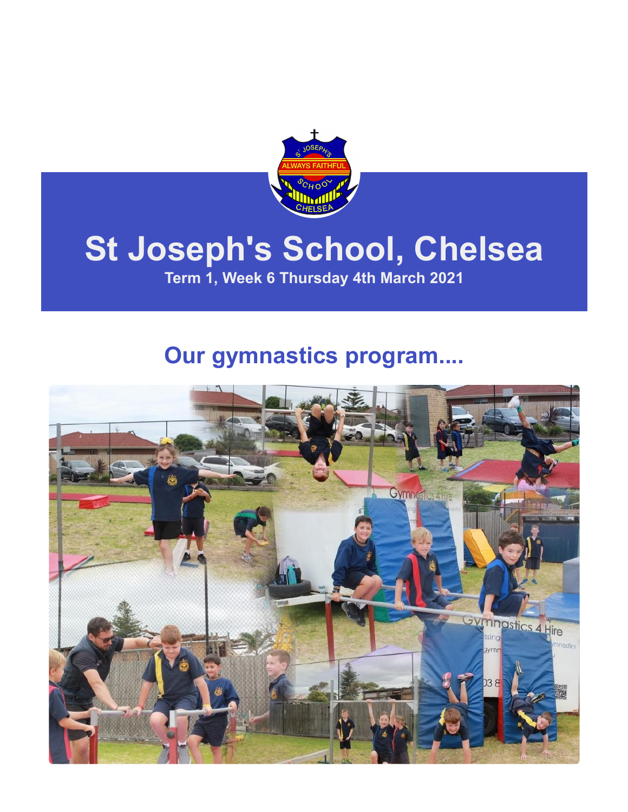

## **St Joseph's School, Chelsea**

**Term 1, Week 6 Thursday 4th March 2021**

## **Our gymnastics program....**

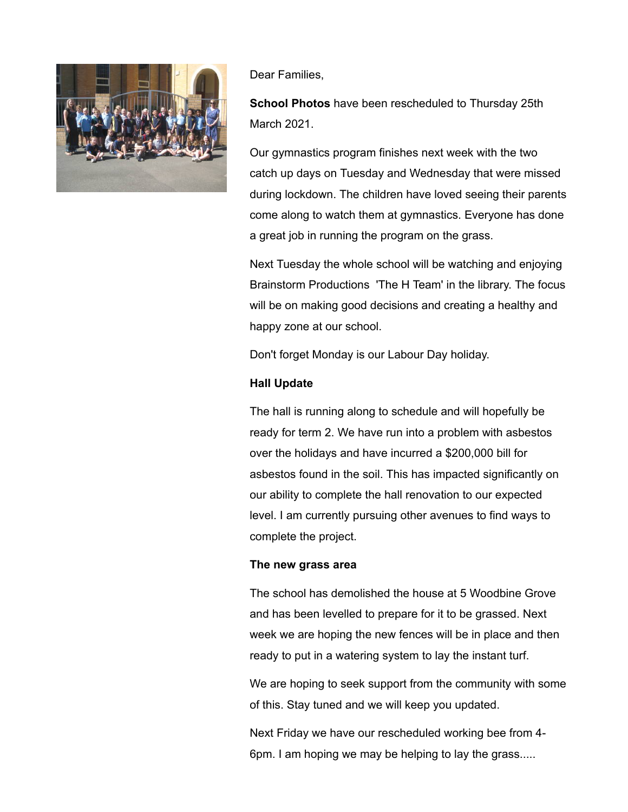

Dear Families,

**School Photos** have been rescheduled to Thursday 25th March 2021.

Our gymnastics program finishes next week with the two catch up days on Tuesday and Wednesday that were missed during lockdown. The children have loved seeing their parents come along to watch them at gymnastics. Everyone has done a great job in running the program on the grass.

Next Tuesday the whole school will be watching and enjoying Brainstorm Productions 'The H Team' in the library. The focus will be on making good decisions and creating a healthy and happy zone at our school.

Don't forget Monday is our Labour Day holiday.

#### **Hall Update**

The hall is running along to schedule and will hopefully be ready for term 2. We have run into a problem with asbestos over the holidays and have incurred a \$200,000 bill for asbestos found in the soil. This has impacted significantly on our ability to complete the hall renovation to our expected level. I am currently pursuing other avenues to find ways to complete the project.

#### **The new grass area**

The school has demolished the house at 5 Woodbine Grove and has been levelled to prepare for it to be grassed. Next week we are hoping the new fences will be in place and then ready to put in a watering system to lay the instant turf.

We are hoping to seek support from the community with some of this. Stay tuned and we will keep you updated.

Next Friday we have our rescheduled working bee from 4- 6pm. I am hoping we may be helping to lay the grass.....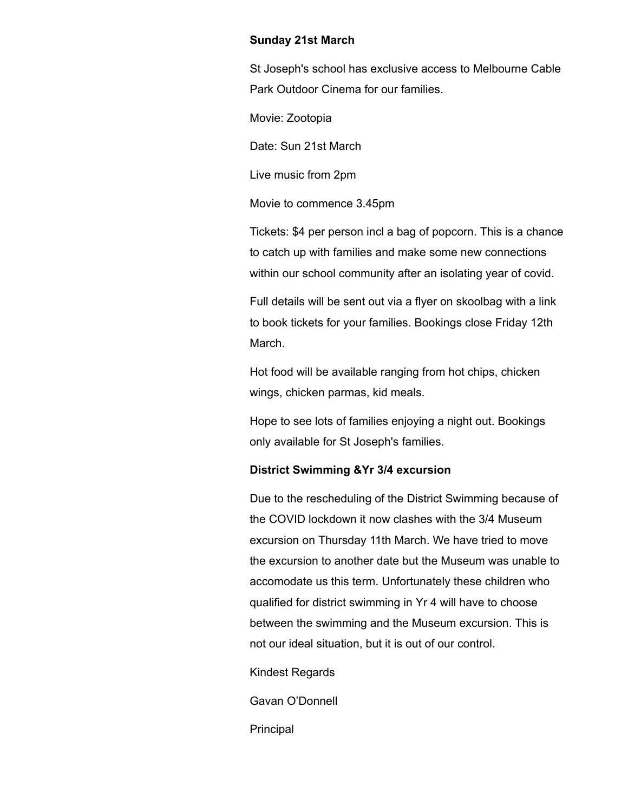#### **Sunday 21st March**

St Joseph's school has exclusive access to Melbourne Cable Park Outdoor Cinema for our families.

Movie: Zootopia

Date: Sun 21st March

Live music from 2pm

Movie to commence 3.45pm

Tickets: \$4 per person incl a bag of popcorn. This is a chance to catch up with families and make some new connections within our school community after an isolating year of covid.

Full details will be sent out via a flyer on skoolbag with a link to book tickets for your families. Bookings close Friday 12th March.

Hot food will be available ranging from hot chips, chicken wings, chicken parmas, kid meals.

Hope to see lots of families enjoying a night out. Bookings only available for St Joseph's families.

#### **District Swimming &Yr 3/4 excursion**

Due to the rescheduling of the District Swimming because of the COVID lockdown it now clashes with the 3/4 Museum excursion on Thursday 11th March. We have tried to move the excursion to another date but the Museum was unable to accomodate us this term. Unfortunately these children who qualified for district swimming in Yr 4 will have to choose between the swimming and the Museum excursion. This is not our ideal situation, but it is out of our control.

Kindest Regards

Gavan O'Donnell

Principal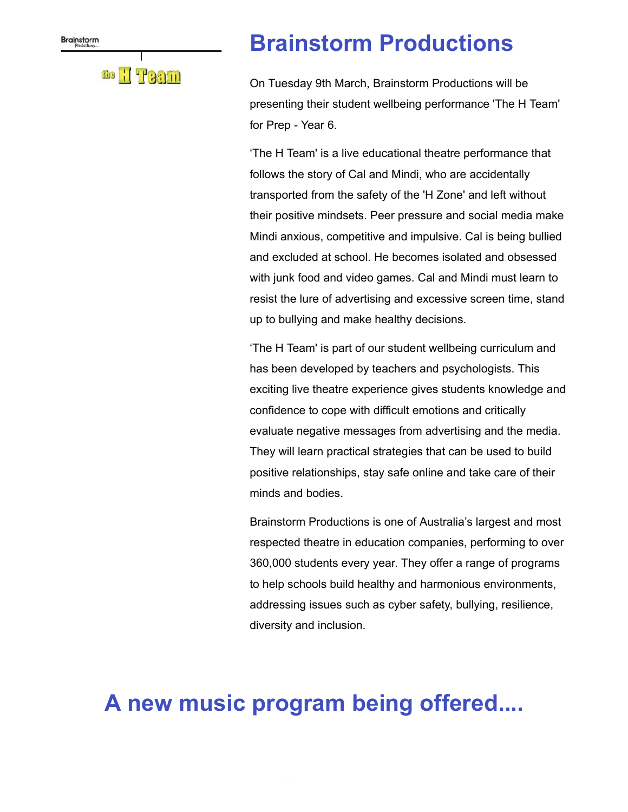### the H TPaam

## **Brainstorm Productions**

On Tuesday 9th March, Brainstorm Productions will be presenting their student wellbeing performance 'The H Team' for Prep - Year 6.

'The H Team' is a live educational theatre performance that follows the story of Cal and Mindi, who are accidentally transported from the safety of the 'H Zone' and left without their positive mindsets. Peer pressure and social media make Mindi anxious, competitive and impulsive. Cal is being bullied and excluded at school. He becomes isolated and obsessed with junk food and video games. Cal and Mindi must learn to resist the lure of advertising and excessive screen time, stand up to bullying and make healthy decisions.

'The H Team' is part of our student wellbeing curriculum and has been developed by teachers and psychologists. This exciting live theatre experience gives students knowledge and confidence to cope with difficult emotions and critically evaluate negative messages from advertising and the media. They will learn practical strategies that can be used to build positive relationships, stay safe online and take care of their minds and bodies.

Brainstorm Productions is one of Australia's largest and most respected theatre in education companies, performing to over 360,000 students every year. They offer a range of programs to help schools build healthy and harmonious environments, addressing issues such as cyber safety, bullying, resilience, diversity and inclusion.

## **A new music program being offered....**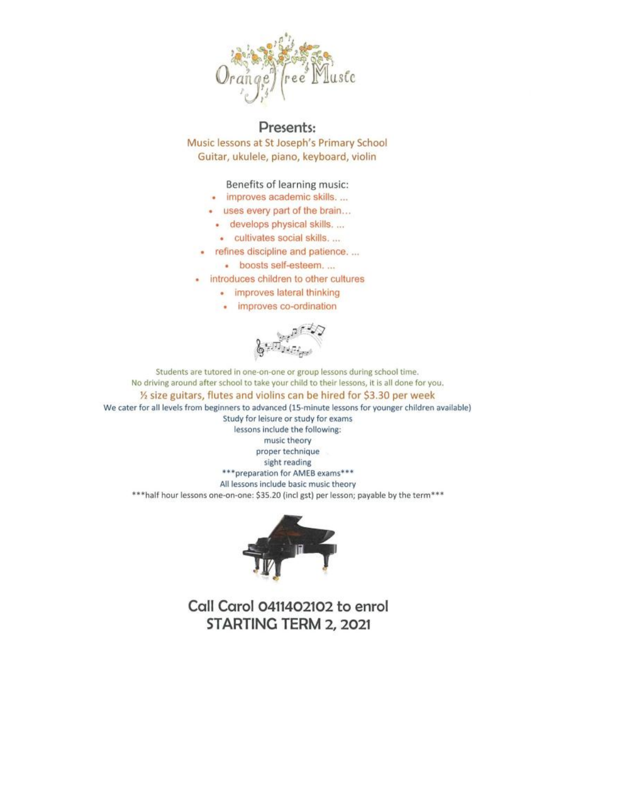

Presents: Music lessons at St Joseph's Primary School Guitar, ukulele, piano, keyboard, violin

Benefits of learning music:

- · improves academic skills. ...
- uses every part of the brain...
	- · develops physical skills. ...
	- · cultivates social skills. ...
- refines discipline and patience....
	- · boosts self-esteem....
- · introduces children to other cultures
	- improves lateral thinking
	- · improves co-ordination

Students are tutored in one-on-one or group lessons during school time. No driving around after school to take your child to their lessons, it is all done for you. 1/2 size guitars, flutes and violins can be hired for \$3.30 per week We cater for all levels from beginners to advanced (15-minute lessons for younger children available) Study for leisure or study for exams lessons include the following: music theory proper technique sight reading \*\*\* preparation for AMEB exams\*\*\*

All lessons include basic music theory

\*\*\* half hour lessons one-on-one: \$35.20 (incl gst) per lesson; payable by the term\*\*\*



Call Carol 0411402102 to enrol STARTING TERM 2, 2021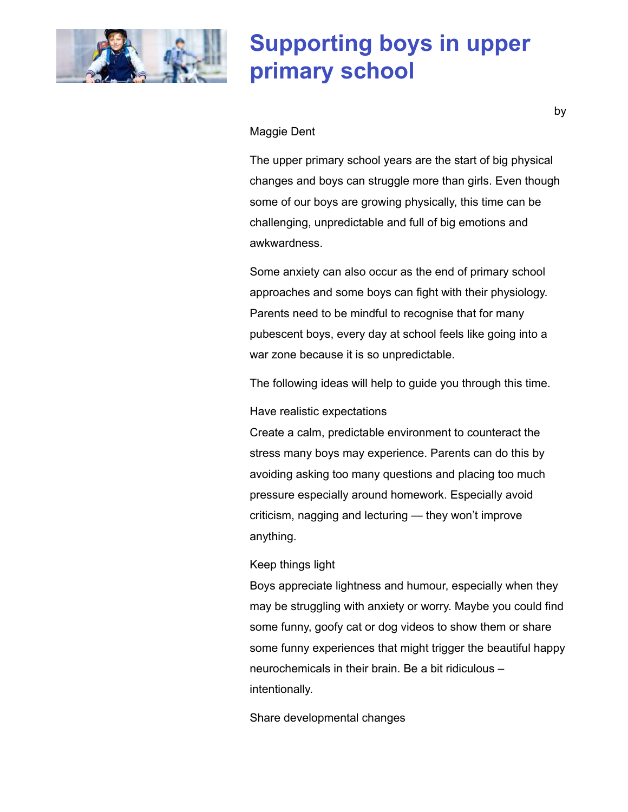

## **Supporting boys in upper primary school**

#### Maggie Dent

The upper primary school years are the start of big physical changes and boys can struggle more than girls. Even though some of our boys are growing physically, this time can be challenging, unpredictable and full of big emotions and awkwardness.

Some anxiety can also occur as the end of primary school approaches and some boys can fight with their physiology. Parents need to be mindful to recognise that for many pubescent boys, every day at school feels like going into a war zone because it is so unpredictable.

The following ideas will help to guide you through this time.

Have realistic expectations

Create a calm, predictable environment to counteract the stress many boys may experience. Parents can do this by avoiding asking too many questions and placing too much pressure especially around homework. Especially avoid criticism, nagging and lecturing — they won't improve anything.

Keep things light

Boys appreciate lightness and humour, especially when they may be struggling with anxiety or worry. Maybe you could find some funny, goofy cat or dog videos to show them or share some funny experiences that might trigger the beautiful happy neurochemicals in their brain. Be a bit ridiculous – intentionally.

Share developmental changes

by the contract of the contract of the contract of the contract of the contract of the contract of the contract of the contract of the contract of the contract of the contract of the contract of the contract of the contrac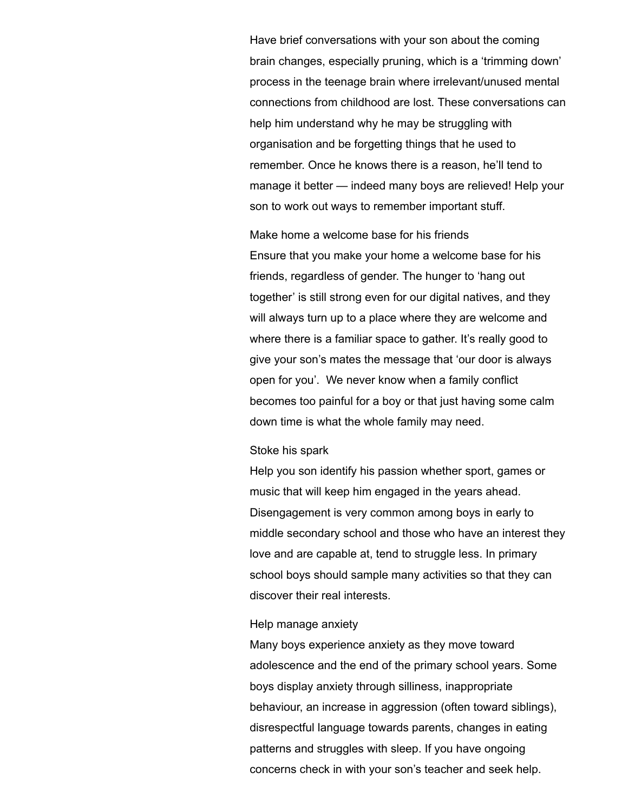Have brief conversations with your son about the coming brain changes, especially pruning, which is a 'trimming down' process in the teenage brain where irrelevant/unused mental connections from childhood are lost. These conversations can help him understand why he may be struggling with organisation and be forgetting things that he used to remember. Once he knows there is a reason, he'll tend to manage it better — indeed many boys are relieved! Help your son to work out ways to remember important stuff.

Make home a welcome base for his friends Ensure that you make your home a welcome base for his friends, regardless of gender. The hunger to 'hang out together' is still strong even for our digital natives, and they will always turn up to a place where they are welcome and where there is a familiar space to gather. It's really good to give your son's mates the message that 'our door is always open for you'. We never know when a family conflict becomes too painful for a boy or that just having some calm down time is what the whole family may need.

#### Stoke his spark

Help you son identify his passion whether sport, games or music that will keep him engaged in the years ahead. Disengagement is very common among boys in early to middle secondary school and those who have an interest they love and are capable at, tend to struggle less. In primary school boys should sample many activities so that they can discover their real interests.

#### Help manage anxiety

Many boys experience anxiety as they move toward adolescence and the end of the primary school years. Some boys display anxiety through silliness, inappropriate behaviour, an increase in aggression (often toward siblings), disrespectful language towards parents, changes in eating patterns and struggles with sleep. If you have ongoing concerns check in with your son's teacher and seek help.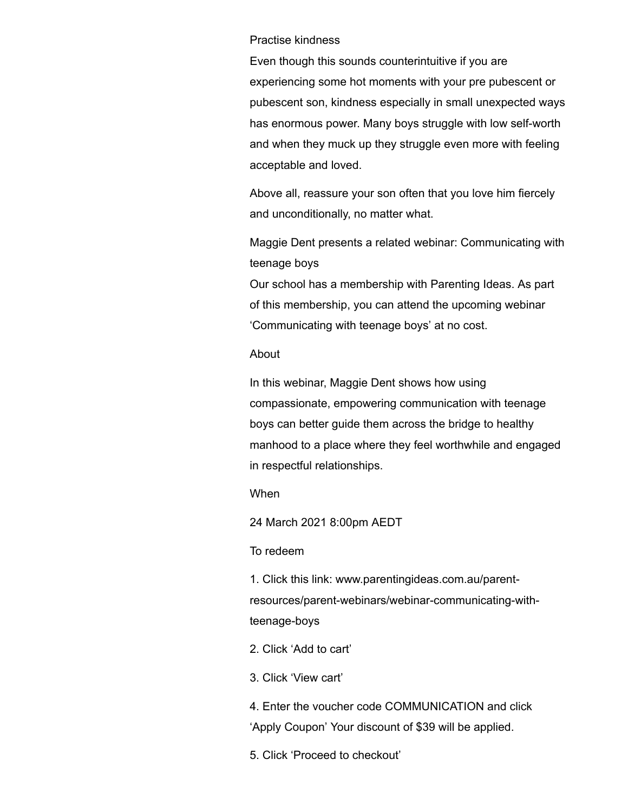#### Practise kindness

Even though this sounds counterintuitive if you are experiencing some hot moments with your pre pubescent or pubescent son, kindness especially in small unexpected ways has enormous power. Many boys struggle with low self-worth and when they muck up they struggle even more with feeling acceptable and loved.

Above all, reassure your son often that you love him fiercely and unconditionally, no matter what.

Maggie Dent presents a related webinar: Communicating with teenage boys

Our school has a membership with Parenting Ideas. As part of this membership, you can attend the upcoming webinar 'Communicating with teenage boys' at no cost.

#### About

In this webinar, Maggie Dent shows how using compassionate, empowering communication with teenage boys can better guide them across the bridge to healthy manhood to a place where they feel worthwhile and engaged in respectful relationships.

#### When

24 March 2021 8:00pm AEDT

#### To redeem

1. Click this link: www.parentingideas.com.au/parent[resources/parent-webinars/webinar-communicating-with](https://www.parentingideas.com.au/parent-resources/parent-webinars/webinar-communicating-with-teenage-boys)teenage-boys

- 2. Click 'Add to cart'
- 3. Click 'View cart'

4. Enter the voucher code COMMUNICATION and click 'Apply Coupon' Your discount of \$39 will be applied.

5. Click 'Proceed to checkout'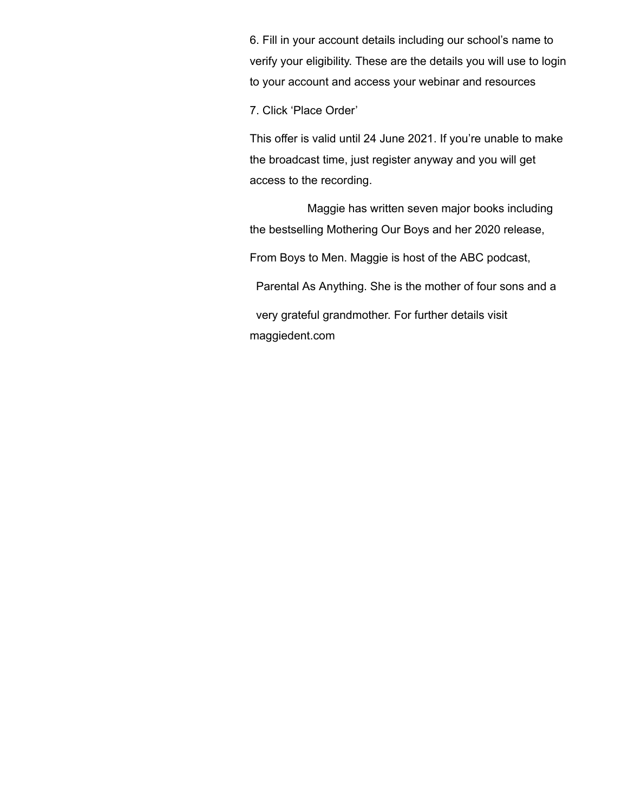6. Fill in your account details including our school's name to verify your eligibility. These are the details you will use to login to your account and access your webinar and resources

7. Click 'Place Order'

This offer is valid until 24 June 2021. If you're unable to make the broadcast time, just register anyway and you will get access to the recording.

 Maggie has written seven major books including the bestselling Mothering Our Boys and her 2020 release,

From Boys to Men. Maggie is host of the ABC podcast,

[Parental As Anything.](https://www.abc.net.au/radio/programs/parental-as-anything-with-maggie-dent/) She is the mother of four sons and a

 very grateful grandmother. For further details visit [maggiedent.com](https://www.maggiedent.com/)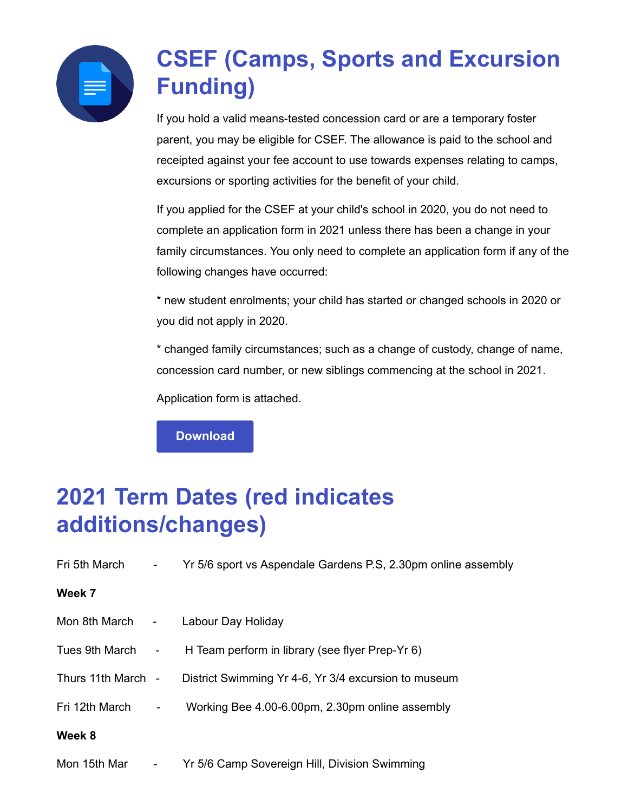

## **CSEF (Camps, Sports and Excursion Funding)**

If you hold a valid means-tested concession card or are a temporary foster parent, you may be eligible for CSEF. The allowance is paid to the school and receipted against your fee account to use towards expenses relating to camps, excursions or sporting activities for the benefit of your child.

If you applied for the CSEF at your child's school in 2020, you do not need to complete an application form in 2021 unless there has been a change in your family circumstances. You only need to complete an application form if any of the following changes have occurred:

\* new student enrolments; your child has started or changed schools in 2020 or you did not apply in 2020.

\* changed family circumstances; such as a change of custody, change of name, concession card number, or new siblings commencing at the school in 2021.

Application form is attached.

**[Download](https://enewsletter.coralcommunities.com/download?file=/file_module/17394/file_download_17394_3574211727.pdf)**

## **2021 Term Dates (red indicates additions/changes)**

| Fri 5th March -    |                                 | Yr 5/6 sport vs Aspendale Gardens P.S. 2.30pm online assembly |
|--------------------|---------------------------------|---------------------------------------------------------------|
| Week 7             |                                 |                                                               |
| Mon 8th March -    |                                 | Labour Day Holiday                                            |
| Tues 9th March -   |                                 | H Team perform in library (see flyer Prep-Yr 6)               |
| Thurs 11th March - |                                 | District Swimming Yr 4-6, Yr 3/4 excursion to museum          |
| Fri 12th March     | $\frac{1}{2}$ and $\frac{1}{2}$ | Working Bee 4.00-6.00pm, 2.30pm online assembly               |
| Week 8             |                                 |                                                               |
| Mon 15th Mar       |                                 | Yr 5/6 Camp Sovereign Hill, Division Swimming                 |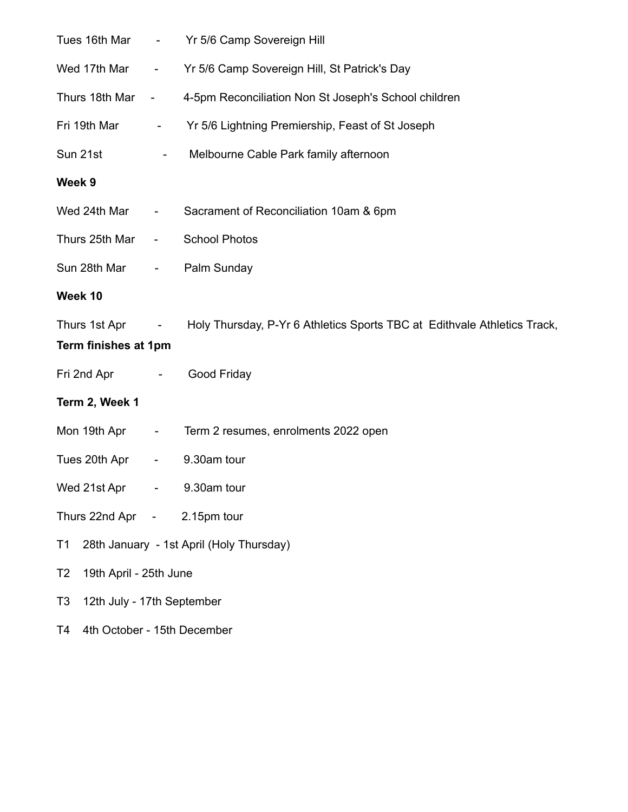| Tues 16th Mar                                | $\sim 10^{-11}$                             | Yr 5/6 Camp Sovereign Hill                                                               |  |  |
|----------------------------------------------|---------------------------------------------|------------------------------------------------------------------------------------------|--|--|
| Wed 17th Mar                                 |                                             | - Yr 5/6 Camp Sovereign Hill, St Patrick's Day                                           |  |  |
| Thurs 18th Mar -                             |                                             | 4-5pm Reconciliation Non St Joseph's School children                                     |  |  |
| Fri 19th Mar                                 | $\sigma_{\rm{max}}$                         | Yr 5/6 Lightning Premiership, Feast of St Joseph                                         |  |  |
| Sun 21st                                     | $\blacksquare$                              | Melbourne Cable Park family afternoon                                                    |  |  |
| Week 9                                       |                                             |                                                                                          |  |  |
| Wed 24th Mar                                 | $\sigma_{\rm{max}}$ and $\sigma_{\rm{max}}$ | Sacrament of Reconciliation 10am & 6pm                                                   |  |  |
| Thurs 25th Mar                               | $\blacksquare$                              | <b>School Photos</b>                                                                     |  |  |
| Sun 28th Mar                                 | $\sigma_{\rm{max}}$                         | Palm Sunday                                                                              |  |  |
| Week 10                                      |                                             |                                                                                          |  |  |
|                                              |                                             | Thurs 1st Apr - Holy Thursday, P-Yr 6 Athletics Sports TBC at Edithvale Athletics Track, |  |  |
| Term finishes at 1pm                         |                                             |                                                                                          |  |  |
| Fri 2nd Apr                                  | $\sim 100$ km s $^{-1}$                     | Good Friday                                                                              |  |  |
| Term 2, Week 1                               |                                             |                                                                                          |  |  |
| Mon 19th Apr                                 | $\sim 100$                                  | Term 2 resumes, enrolments 2022 open                                                     |  |  |
| Tues 20th Apr                                |                                             | - 9.30am tour                                                                            |  |  |
| Wed 21st Apr                                 | $\frac{1}{2}$ and $\frac{1}{2}$             | 9.30am tour                                                                              |  |  |
| Thurs 22nd Apr - 2.15pm tour                 |                                             |                                                                                          |  |  |
| T1                                           |                                             | 28th January - 1st April (Holy Thursday)                                                 |  |  |
| 19th April - 25th June<br>T <sub>2</sub>     |                                             |                                                                                          |  |  |
| 12th July - 17th September<br>T <sub>3</sub> |                                             |                                                                                          |  |  |
|                                              |                                             |                                                                                          |  |  |

T4 4th October - 15th December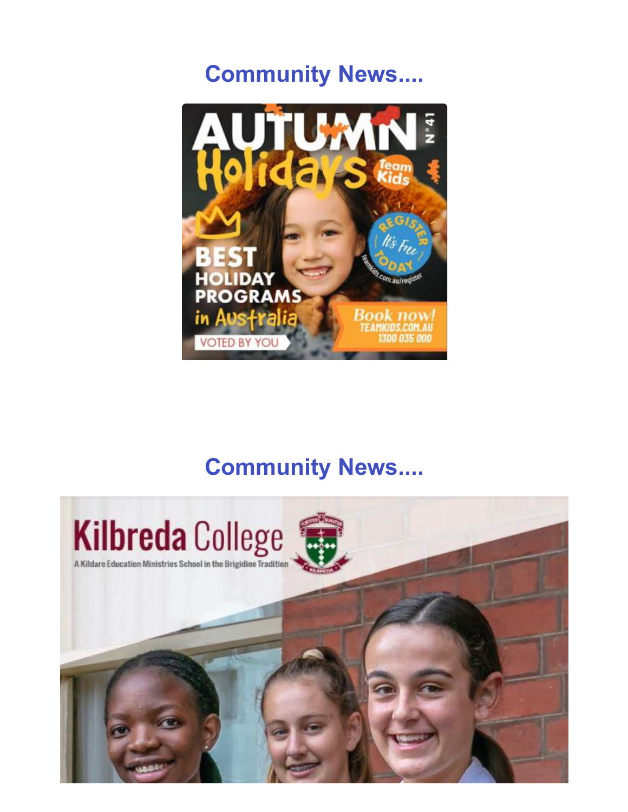## **Community News....**



## **Community News....**